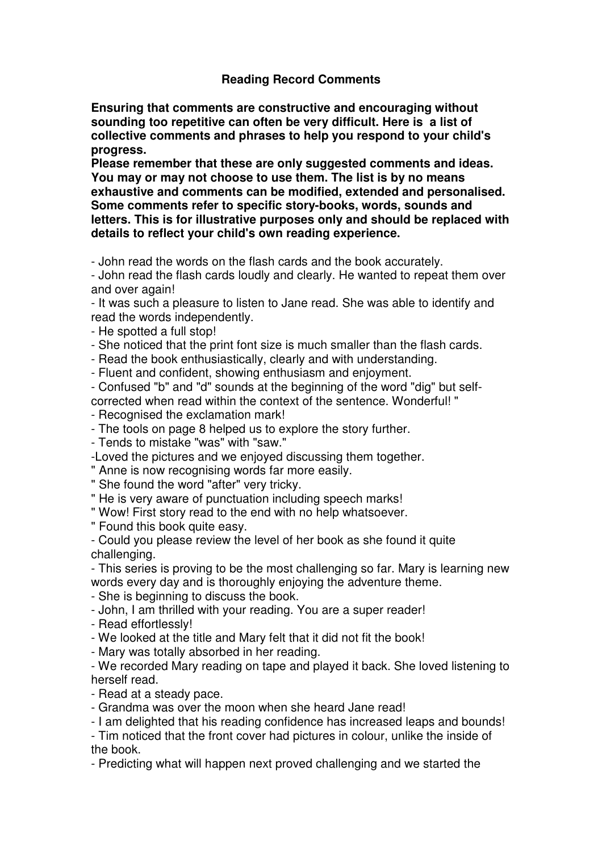## **Reading Record Comments**

**Ensuring that comments are constructive and encouraging without sounding too repetitive can often be very difficult. Here is a list of collective comments and phrases to help you respond to your child's progress.** 

**Please remember that these are only suggested comments and ideas. You may or may not choose to use them. The list is by no means exhaustive and comments can be modified, extended and personalised. Some comments refer to specific story-books, words, sounds and letters. This is for illustrative purposes only and should be replaced with details to reflect your child's own reading experience.**

- John read the words on the flash cards and the book accurately.

- John read the flash cards loudly and clearly. He wanted to repeat them over and over again!

- It was such a pleasure to listen to Jane read. She was able to identify and read the words independently.

- He spotted a full stop!

- She noticed that the print font size is much smaller than the flash cards.

- Read the book enthusiastically, clearly and with understanding.

- Fluent and confident, showing enthusiasm and enjoyment.

- Confused "b" and "d" sounds at the beginning of the word "dig" but selfcorrected when read within the context of the sentence. Wonderful! "

- Recognised the exclamation mark!

- The tools on page 8 helped us to explore the story further.

- Tends to mistake "was" with "saw."

-Loved the pictures and we enjoyed discussing them together.

" Anne is now recognising words far more easily.

" She found the word "after" very tricky.

" He is very aware of punctuation including speech marks!

" Wow! First story read to the end with no help whatsoever.

" Found this book quite easy.

- Could you please review the level of her book as she found it quite challenging.

- This series is proving to be the most challenging so far. Mary is learning new words every day and is thoroughly enjoying the adventure theme.

- She is beginning to discuss the book.

- John, I am thrilled with your reading. You are a super reader!

- Read effortlessly!

- We looked at the title and Mary felt that it did not fit the book!

- Mary was totally absorbed in her reading.

- We recorded Mary reading on tape and played it back. She loved listening to herself read.

- Read at a steady pace.

- Grandma was over the moon when she heard Jane read!

- I am delighted that his reading confidence has increased leaps and bounds!

- Tim noticed that the front cover had pictures in colour, unlike the inside of the book.

- Predicting what will happen next proved challenging and we started the